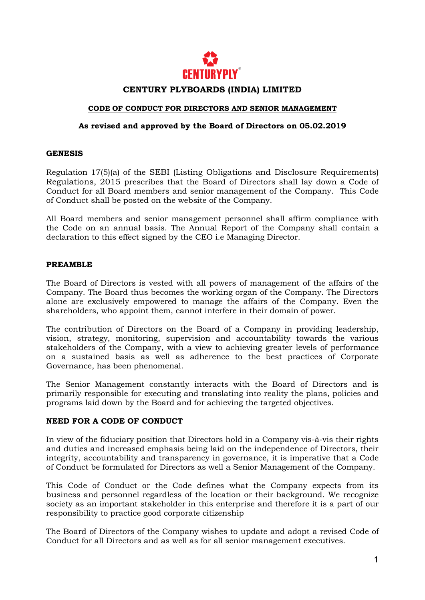

## **CENTURY PLYBOARDS (INDIA) LIMITED**

#### **CODE OF CONDUCT FOR DIRECTORS AND SENIOR MANAGEMENT**

#### **As revised and approved by the Board of Directors on 05.02.2019**

#### **GENESIS**

Regulation 17(5)(a) of the SEBI (Listing Obligations and Disclosure Requirements) Regulations, 2015 prescribes that the Board of Directors shall lay down a Code of Conduct for all Board members and senior management of the Company. This Code of Conduct shall be posted on the website of the Company.

All Board members and senior management personnel shall affirm compliance with the Code on an annual basis. The Annual Report of the Company shall contain a declaration to this effect signed by the CEO i.e Managing Director.

#### **PREAMBLE**

The Board of Directors is vested with all powers of management of the affairs of the Company. The Board thus becomes the working organ of the Company. The Directors alone are exclusively empowered to manage the affairs of the Company. Even the shareholders, who appoint them, cannot interfere in their domain of power.

The contribution of Directors on the Board of a Company in providing leadership, vision, strategy, monitoring, supervision and accountability towards the various stakeholders of the Company, with a view to achieving greater levels of performance on a sustained basis as well as adherence to the best practices of Corporate Governance, has been phenomenal.

The Senior Management constantly interacts with the Board of Directors and is primarily responsible for executing and translating into reality the plans, policies and programs laid down by the Board and for achieving the targeted objectives.

### **NEED FOR A CODE OF CONDUCT**

In view of the fiduciary position that Directors hold in a Company vis-à-vis their rights and duties and increased emphasis being laid on the independence of Directors, their integrity, accountability and transparency in governance, it is imperative that a Code of Conduct be formulated for Directors as well a Senior Management of the Company.

This Code of Conduct or the Code defines what the Company expects from its business and personnel regardless of the location or their background. We recognize society as an important stakeholder in this enterprise and therefore it is a part of our responsibility to practice good corporate citizenship

The Board of Directors of the Company wishes to update and adopt a revised Code of Conduct for all Directors and as well as for all senior management executives.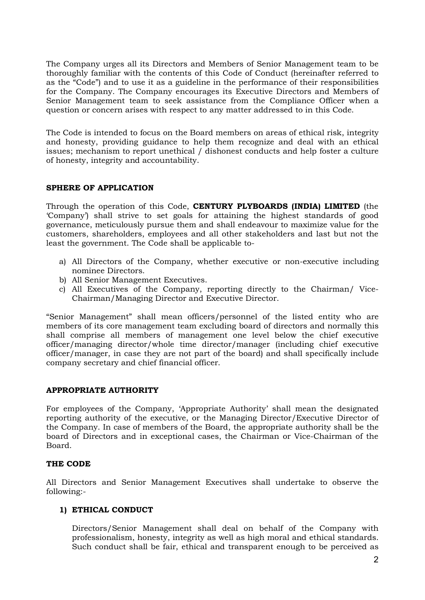The Company urges all its Directors and Members of Senior Management team to be thoroughly familiar with the contents of this Code of Conduct (hereinafter referred to as the "Code") and to use it as a guideline in the performance of their responsibilities for the Company. The Company encourages its Executive Directors and Members of Senior Management team to seek assistance from the Compliance Officer when a question or concern arises with respect to any matter addressed to in this Code.

The Code is intended to focus on the Board members on areas of ethical risk, integrity and honesty, providing guidance to help them recognize and deal with an ethical issues; mechanism to report unethical / dishonest conducts and help foster a culture of honesty, integrity and accountability.

### **SPHERE OF APPLICATION**

Through the operation of this Code, **CENTURY PLYBOARDS (INDIA) LIMITED** (the 'Company') shall strive to set goals for attaining the highest standards of good governance, meticulously pursue them and shall endeavour to maximize value for the customers, shareholders, employees and all other stakeholders and last but not the least the government. The Code shall be applicable to-

- a) All Directors of the Company, whether executive or non-executive including nominee Directors.
- b) All Senior Management Executives.
- c) All Executives of the Company, reporting directly to the Chairman/ Vice-Chairman/Managing Director and Executive Director.

"Senior Management" shall mean officers/personnel of the listed entity who are members of its core management team excluding board of directors and normally this shall comprise all members of management one level below the chief executive officer/managing director/whole time director/manager (including chief executive officer/manager, in case they are not part of the board) and shall specifically include company secretary and chief financial officer.

# **APPROPRIATE AUTHORITY**

For employees of the Company, 'Appropriate Authority' shall mean the designated reporting authority of the executive, or the Managing Director/Executive Director of the Company. In case of members of the Board, the appropriate authority shall be the board of Directors and in exceptional cases, the Chairman or Vice-Chairman of the Board.

### **THE CODE**

All Directors and Senior Management Executives shall undertake to observe the following:-

# **1) ETHICAL CONDUCT**

Directors/Senior Management shall deal on behalf of the Company with professionalism, honesty, integrity as well as high moral and ethical standards. Such conduct shall be fair, ethical and transparent enough to be perceived as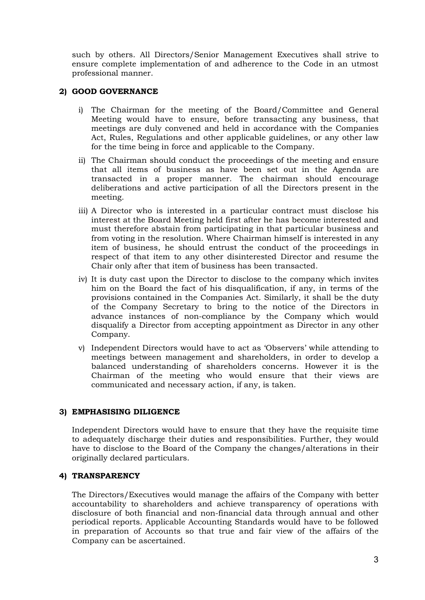such by others. All Directors/Senior Management Executives shall strive to ensure complete implementation of and adherence to the Code in an utmost professional manner.

## **2) GOOD GOVERNANCE**

- i) The Chairman for the meeting of the Board/Committee and General Meeting would have to ensure, before transacting any business, that meetings are duly convened and held in accordance with the Companies Act, Rules, Regulations and other applicable guidelines, or any other law for the time being in force and applicable to the Company.
- ii) The Chairman should conduct the proceedings of the meeting and ensure that all items of business as have been set out in the Agenda are transacted in a proper manner. The chairman should encourage deliberations and active participation of all the Directors present in the meeting.
- iii) A Director who is interested in a particular contract must disclose his interest at the Board Meeting held first after he has become interested and must therefore abstain from participating in that particular business and from voting in the resolution. Where Chairman himself is interested in any item of business, he should entrust the conduct of the proceedings in respect of that item to any other disinterested Director and resume the Chair only after that item of business has been transacted.
- iv) It is duty cast upon the Director to disclose to the company which invites him on the Board the fact of his disqualification, if any, in terms of the provisions contained in the Companies Act. Similarly, it shall be the duty of the Company Secretary to bring to the notice of the Directors in advance instances of non-compliance by the Company which would disqualify a Director from accepting appointment as Director in any other Company.
- v) Independent Directors would have to act as 'Observers' while attending to meetings between management and shareholders, in order to develop a balanced understanding of shareholders concerns. However it is the Chairman of the meeting who would ensure that their views are communicated and necessary action, if any, is taken.

# **3) EMPHASISING DILIGENCE**

Independent Directors would have to ensure that they have the requisite time to adequately discharge their duties and responsibilities. Further, they would have to disclose to the Board of the Company the changes/alterations in their originally declared particulars.

### **4) TRANSPARENCY**

The Directors/Executives would manage the affairs of the Company with better accountability to shareholders and achieve transparency of operations with disclosure of both financial and non-financial data through annual and other periodical reports. Applicable Accounting Standards would have to be followed in preparation of Accounts so that true and fair view of the affairs of the Company can be ascertained.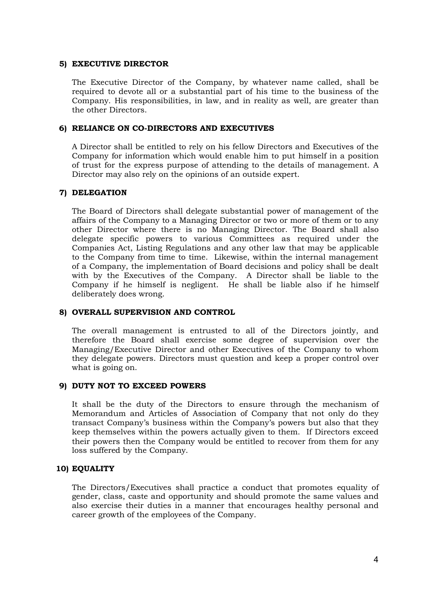#### **5) EXECUTIVE DIRECTOR**

The Executive Director of the Company, by whatever name called, shall be required to devote all or a substantial part of his time to the business of the Company. His responsibilities, in law, and in reality as well, are greater than the other Directors.

#### **6) RELIANCE ON CO-DIRECTORS AND EXECUTIVES**

A Director shall be entitled to rely on his fellow Directors and Executives of the Company for information which would enable him to put himself in a position of trust for the express purpose of attending to the details of management. A Director may also rely on the opinions of an outside expert.

#### **7) DELEGATION**

The Board of Directors shall delegate substantial power of management of the affairs of the Company to a Managing Director or two or more of them or to any other Director where there is no Managing Director. The Board shall also delegate specific powers to various Committees as required under the Companies Act, Listing Regulations and any other law that may be applicable to the Company from time to time. Likewise, within the internal management of a Company, the implementation of Board decisions and policy shall be dealt with by the Executives of the Company. A Director shall be liable to the Company if he himself is negligent. He shall be liable also if he himself deliberately does wrong.

#### **8) OVERALL SUPERVISION AND CONTROL**

The overall management is entrusted to all of the Directors jointly, and therefore the Board shall exercise some degree of supervision over the Managing/Executive Director and other Executives of the Company to whom they delegate powers. Directors must question and keep a proper control over what is going on.

#### **9) DUTY NOT TO EXCEED POWERS**

It shall be the duty of the Directors to ensure through the mechanism of Memorandum and Articles of Association of Company that not only do they transact Company's business within the Company's powers but also that they keep themselves within the powers actually given to them. If Directors exceed their powers then the Company would be entitled to recover from them for any loss suffered by the Company.

### **10) EQUALITY**

The Directors/Executives shall practice a conduct that promotes equality of gender, class, caste and opportunity and should promote the same values and also exercise their duties in a manner that encourages healthy personal and career growth of the employees of the Company.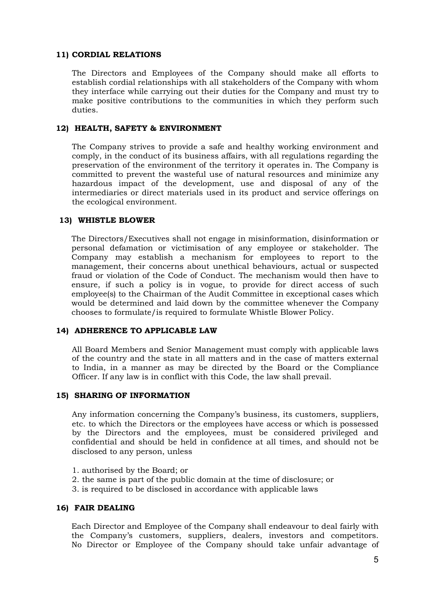#### **11) CORDIAL RELATIONS**

The Directors and Employees of the Company should make all efforts to establish cordial relationships with all stakeholders of the Company with whom they interface while carrying out their duties for the Company and must try to make positive contributions to the communities in which they perform such duties.

#### **12) HEALTH, SAFETY & ENVIRONMENT**

The Company strives to provide a safe and healthy working environment and comply, in the conduct of its business affairs, with all regulations regarding the preservation of the environment of the territory it operates in. The Company is committed to prevent the wasteful use of natural resources and minimize any hazardous impact of the development, use and disposal of any of the intermediaries or direct materials used in its product and service offerings on the ecological environment.

#### **13) WHISTLE BLOWER**

The Directors/Executives shall not engage in misinformation, disinformation or personal defamation or victimisation of any employee or stakeholder. The Company may establish a mechanism for employees to report to the management, their concerns about unethical behaviours, actual or suspected fraud or violation of the Code of Conduct. The mechanism would then have to ensure, if such a policy is in vogue, to provide for direct access of such employee(s) to the Chairman of the Audit Committee in exceptional cases which would be determined and laid down by the committee whenever the Company chooses to formulate/is required to formulate Whistle Blower Policy.

### **14) ADHERENCE TO APPLICABLE LAW**

All Board Members and Senior Management must comply with applicable laws of the country and the state in all matters and in the case of matters external to India, in a manner as may be directed by the Board or the Compliance Officer. If any law is in conflict with this Code, the law shall prevail.

#### **15) SHARING OF INFORMATION**

Any information concerning the Company's business, its customers, suppliers, etc. to which the Directors or the employees have access or which is possessed by the Directors and the employees, must be considered privileged and confidential and should be held in confidence at all times, and should not be disclosed to any person, unless

- 1. authorised by the Board; or
- 2. the same is part of the public domain at the time of disclosure; or
- 3. is required to be disclosed in accordance with applicable laws

#### **16) FAIR DEALING**

Each Director and Employee of the Company shall endeavour to deal fairly with the Company's customers, suppliers, dealers, investors and competitors. No Director or Employee of the Company should take unfair advantage of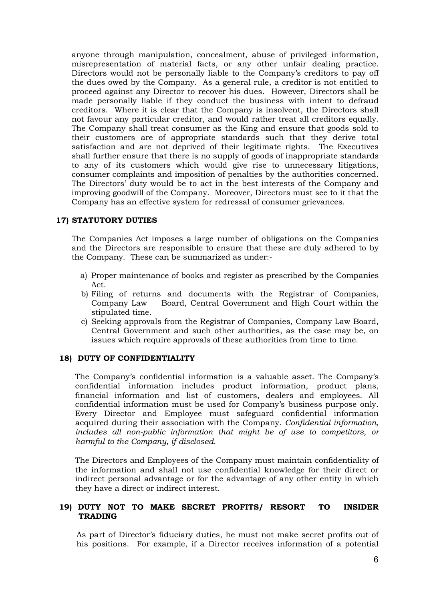anyone through manipulation, concealment, abuse of privileged information, misrepresentation of material facts, or any other unfair dealing practice. Directors would not be personally liable to the Company's creditors to pay off the dues owed by the Company. As a general rule, a creditor is not entitled to proceed against any Director to recover his dues. However, Directors shall be made personally liable if they conduct the business with intent to defraud creditors. Where it is clear that the Company is insolvent, the Directors shall not favour any particular creditor, and would rather treat all creditors equally. The Company shall treat consumer as the King and ensure that goods sold to their customers are of appropriate standards such that they derive total satisfaction and are not deprived of their legitimate rights. The Executives shall further ensure that there is no supply of goods of inappropriate standards to any of its customers which would give rise to unnecessary litigations, consumer complaints and imposition of penalties by the authorities concerned. The Directors' duty would be to act in the best interests of the Company and improving goodwill of the Company. Moreover, Directors must see to it that the Company has an effective system for redressal of consumer grievances.

### **17) STATUTORY DUTIES**

The Companies Act imposes a large number of obligations on the Companies and the Directors are responsible to ensure that these are duly adhered to by the Company. These can be summarized as under:-

- a) Proper maintenance of books and register as prescribed by the Companies Act.
- b) Filing of returns and documents with the Registrar of Companies, Company Law Board, Central Government and High Court within the stipulated time.
- c) Seeking approvals from the Registrar of Companies, Company Law Board, Central Government and such other authorities, as the case may be, on issues which require approvals of these authorities from time to time.

### **18) DUTY OF CONFIDENTIALITY**

The Company's confidential information is a valuable asset. The Company's confidential information includes product information, product plans, financial information and list of customers, dealers and employees. All confidential information must be used for Company's business purpose only. Every Director and Employee must safeguard confidential information acquired during their association with the Company. *Confidential information, includes all non-public information that might be of use to competitors, or harmful to the Company, if disclosed.*

The Directors and Employees of the Company must maintain confidentiality of the information and shall not use confidential knowledge for their direct or indirect personal advantage or for the advantage of any other entity in which they have a direct or indirect interest.

### **19) DUTY NOT TO MAKE SECRET PROFITS/ RESORT TO INSIDER TRADING**

As part of Director's fiduciary duties, he must not make secret profits out of his positions. For example, if a Director receives information of a potential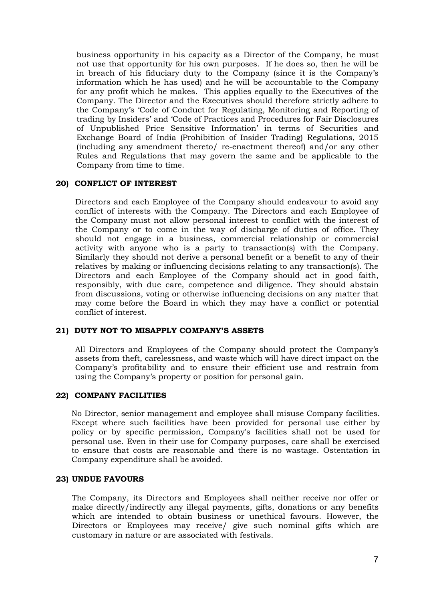business opportunity in his capacity as a Director of the Company, he must not use that opportunity for his own purposes. If he does so, then he will be in breach of his fiduciary duty to the Company (since it is the Company's information which he has used) and he will be accountable to the Company for any profit which he makes. This applies equally to the Executives of the Company. The Director and the Executives should therefore strictly adhere to the Company's 'Code of Conduct for Regulating, Monitoring and Reporting of trading by Insiders' and 'Code of Practices and Procedures for Fair Disclosures of Unpublished Price Sensitive Information' in terms of Securities and Exchange Board of India (Prohibition of Insider Trading) Regulations, 2015 (including any amendment thereto/ re-enactment thereof) and/or any other Rules and Regulations that may govern the same and be applicable to the Company from time to time.

### **20) CONFLICT OF INTEREST**

Directors and each Employee of the Company should endeavour to avoid any conflict of interests with the Company. The Directors and each Employee of the Company must not allow personal interest to conflict with the interest of the Company or to come in the way of discharge of duties of office. They should not engage in a business, commercial relationship or commercial activity with anyone who is a party to transaction(s) with the Company. Similarly they should not derive a personal benefit or a benefit to any of their relatives by making or influencing decisions relating to any transaction(s). The Directors and each Employee of the Company should act in good faith, responsibly, with due care, competence and diligence. They should abstain from discussions, voting or otherwise influencing decisions on any matter that may come before the Board in which they may have a conflict or potential conflict of interest.

#### **21) DUTY NOT TO MISAPPLY COMPANY'S ASSETS**

All Directors and Employees of the Company should protect the Company's assets from theft, carelessness, and waste which will have direct impact on the Company's profitability and to ensure their efficient use and restrain from using the Company's property or position for personal gain.

#### **22) COMPANY FACILITIES**

No Director, senior management and employee shall misuse Company facilities. Except where such facilities have been provided for personal use either by policy or by specific permission, Company's facilities shall not be used for personal use. Even in their use for Company purposes, care shall be exercised to ensure that costs are reasonable and there is no wastage. Ostentation in Company expenditure shall be avoided.

#### **23) UNDUE FAVOURS**

The Company, its Directors and Employees shall neither receive nor offer or make directly/indirectly any illegal payments, gifts, donations or any benefits which are intended to obtain business or unethical favours. However, the Directors or Employees may receive/ give such nominal gifts which are customary in nature or are associated with festivals.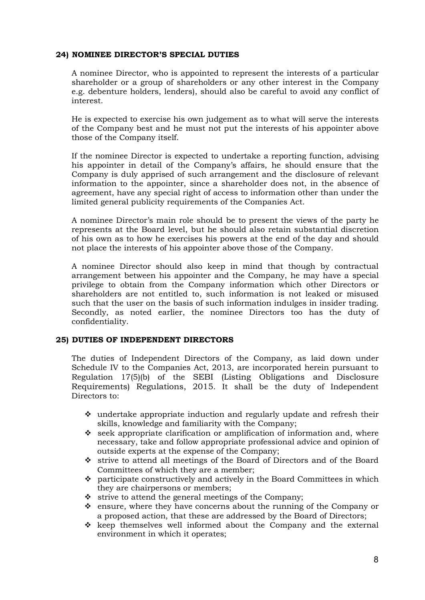#### **24) NOMINEE DIRECTOR'S SPECIAL DUTIES**

A nominee Director, who is appointed to represent the interests of a particular shareholder or a group of shareholders or any other interest in the Company e.g. debenture holders, lenders), should also be careful to avoid any conflict of interest.

He is expected to exercise his own judgement as to what will serve the interests of the Company best and he must not put the interests of his appointer above those of the Company itself.

If the nominee Director is expected to undertake a reporting function, advising his appointer in detail of the Company's affairs, he should ensure that the Company is duly apprised of such arrangement and the disclosure of relevant information to the appointer, since a shareholder does not, in the absence of agreement, have any special right of access to information other than under the limited general publicity requirements of the Companies Act.

A nominee Director's main role should be to present the views of the party he represents at the Board level, but he should also retain substantial discretion of his own as to how he exercises his powers at the end of the day and should not place the interests of his appointer above those of the Company.

A nominee Director should also keep in mind that though by contractual arrangement between his appointer and the Company, he may have a special privilege to obtain from the Company information which other Directors or shareholders are not entitled to, such information is not leaked or misused such that the user on the basis of such information indulges in insider trading. Secondly, as noted earlier, the nominee Directors too has the duty of confidentiality.

### **25) DUTIES OF INDEPENDENT DIRECTORS**

The duties of Independent Directors of the Company, as laid down under Schedule IV to the Companies Act, 2013, are incorporated herein pursuant to Regulation 17(5)(b) of the SEBI (Listing Obligations and Disclosure Requirements) Regulations, 2015. It shall be the duty of Independent Directors to:

- $\hat{P}$  undertake appropriate induction and regularly update and refresh their skills, knowledge and familiarity with the Company;
- $\div$  seek appropriate clarification or amplification of information and, where necessary, take and follow appropriate professional advice and opinion of outside experts at the expense of the Company;
- strive to attend all meetings of the Board of Directors and of the Board Committees of which they are a member;
- $\hat{\mathbf{v}}$  participate constructively and actively in the Board Committees in which they are chairpersons or members;
- $\cdot$  strive to attend the general meetings of the Company;
- $\hat{\mathbf{v}}$  ensure, where they have concerns about the running of the Company or a proposed action, that these are addressed by the Board of Directors;
- $\div$  keep themselves well informed about the Company and the external environment in which it operates;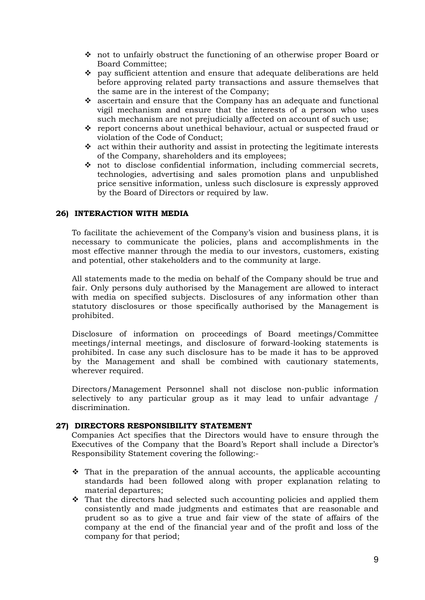- not to unfairly obstruct the functioning of an otherwise proper Board or Board Committee;
- $\div$  pay sufficient attention and ensure that adequate deliberations are held before approving related party transactions and assure themselves that the same are in the interest of the Company;
- $\hat{\mathbf{v}}$  ascertain and ensure that the Company has an adequate and functional vigil mechanism and ensure that the interests of a person who uses such mechanism are not prejudicially affected on account of such use;
- report concerns about unethical behaviour, actual or suspected fraud or violation of the Code of Conduct;
- $\hat{\mathbf{v}}$  act within their authority and assist in protecting the legitimate interests of the Company, shareholders and its employees;
- not to disclose confidential information, including commercial secrets, technologies, advertising and sales promotion plans and unpublished price sensitive information, unless such disclosure is expressly approved by the Board of Directors or required by law.

### **26) INTERACTION WITH MEDIA**

To facilitate the achievement of the Company's vision and business plans, it is necessary to communicate the policies, plans and accomplishments in the most effective manner through the media to our investors, customers, existing and potential, other stakeholders and to the community at large.

All statements made to the media on behalf of the Company should be true and fair. Only persons duly authorised by the Management are allowed to interact with media on specified subjects. Disclosures of any information other than statutory disclosures or those specifically authorised by the Management is prohibited.

Disclosure of information on proceedings of Board meetings/Committee meetings/internal meetings, and disclosure of forward-looking statements is prohibited. In case any such disclosure has to be made it has to be approved by the Management and shall be combined with cautionary statements, wherever required.

Directors/Management Personnel shall not disclose non-public information selectively to any particular group as it may lead to unfair advantage / discrimination.

### **27) DIRECTORS RESPONSIBILITY STATEMENT**

Companies Act specifies that the Directors would have to ensure through the Executives of the Company that the Board's Report shall include a Director's Responsibility Statement covering the following:-

- $\cdot$  That in the preparation of the annual accounts, the applicable accounting standards had been followed along with proper explanation relating to material departures;
- $\hat{\cdot}$  That the directors had selected such accounting policies and applied them consistently and made judgments and estimates that are reasonable and prudent so as to give a true and fair view of the state of affairs of the company at the end of the financial year and of the profit and loss of the company for that period;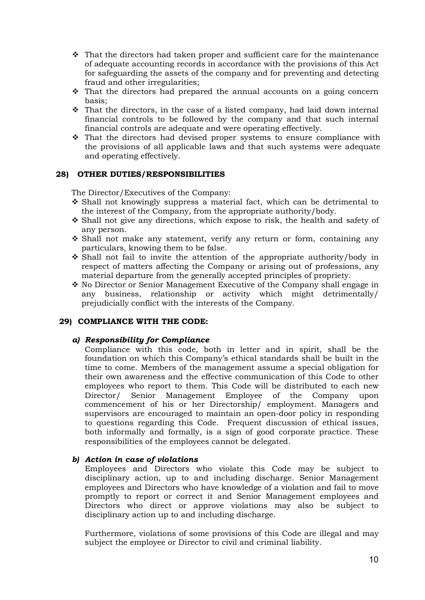- $\hat{P}$  That the directors had taken proper and sufficient care for the maintenance of adequate accounting records in accordance with the provisions of this Act for safeguarding the assets of the company and for preventing and detecting fraud and other irregularities;
- $\hat{\cdot}$  That the directors had prepared the annual accounts on a going concern basis;
- $\hat{\mathbf{v}}$  That the directors, in the case of a listed company, had laid down internal financial controls to be followed by the company and that such internal financial controls are adequate and were operating effectively.
- $\cdot \cdot$  That the directors had devised proper systems to ensure compliance with the provisions of all applicable laws and that such systems were adequate and operating effectively.

#### **28) OTHER DUTIES/RESPONSIBILITIES**

The Director/Executives of the Company:

- $\div$  Shall not knowingly suppress a material fact, which can be detrimental to the interest of the Company, from the appropriate authority/body.
- $\div$  Shall not give any directions, which expose to risk, the health and safety of any person.
- $\div$  Shall not make any statement, verify any return or form, containing any particulars, knowing them to be false.
- $\cdot$  Shall not fail to invite the attention of the appropriate authority/body in respect of matters affecting the Company or arising out of professions, any material departure from the generally accepted principles of propriety.
- $\div$  No Director or Senior Management Executive of the Company shall engage in any business, relationship or activity which might detrimentally/ prejudicially conflict with the interests of the Company.

#### **29) COMPLIANCE WITH THE CODE:**

#### *a) Responsibility for Compliance*

Compliance with this code, both in letter and in spirit, shall be the foundation on which this Company's ethical standards shall be built in the time to come. Members of the management assume a special obligation for their own awareness and the effective communication of this Code to other employees who report to them. This Code will be distributed to each new Director/ Senior Management Employee of the Company upon commencement of his or her Directorship/ employment. Managers and supervisors are encouraged to maintain an open-door policy in responding to questions regarding this Code. Frequent discussion of ethical issues, both informally and formally, is a sign of good corporate practice. These responsibilities of the employees cannot be delegated.

#### *b) Action in case of violations*

Employees and Directors who violate this Code may be subject to disciplinary action, up to and including discharge. Senior Management employees and Directors who have knowledge of a violation and fail to move promptly to report or correct it and Senior Management employees and Directors who direct or approve violations may also be subject to disciplinary action up to and including discharge.

Furthermore, violations of some provisions of this Code are illegal and may subject the employee or Director to civil and criminal liability.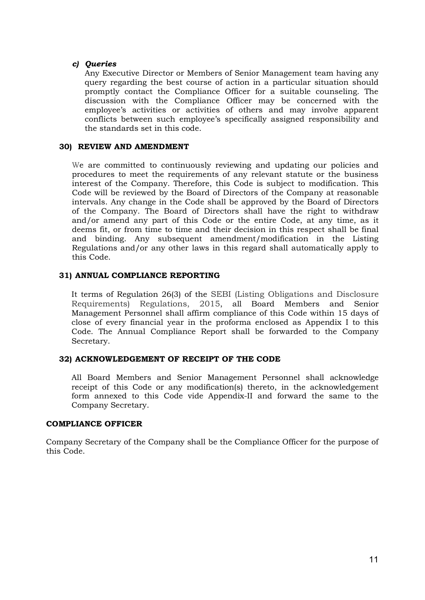## *c) Queries*

Any Executive Director or Members of Senior Management team having any query regarding the best course of action in a particular situation should promptly contact the Compliance Officer for a suitable counseling. The discussion with the Compliance Officer may be concerned with the employee's activities or activities of others and may involve apparent conflicts between such employee's specifically assigned responsibility and the standards set in this code.

## **30) REVIEW AND AMENDMENT**

We are committed to continuously reviewing and updating our policies and procedures to meet the requirements of any relevant statute or the business interest of the Company. Therefore, this Code is subject to modification. This Code will be reviewed by the Board of Directors of the Company at reasonable intervals. Any change in the Code shall be approved by the Board of Directors of the Company. The Board of Directors shall have the right to withdraw and/or amend any part of this Code or the entire Code, at any time, as it deems fit, or from time to time and their decision in this respect shall be final and binding. Any subsequent amendment/modification in the Listing Regulations and/or any other laws in this regard shall automatically apply to this Code.

# **31) ANNUAL COMPLIANCE REPORTING**

It terms of Regulation 26(3) of the SEBI (Listing Obligations and Disclosure Requirements) Regulations, 2015, all Board Members and Senior Management Personnel shall affirm compliance of this Code within 15 days of close of every financial year in the proforma enclosed as Appendix I to this Code. The Annual Compliance Report shall be forwarded to the Company Secretary.

### **32) ACKNOWLEDGEMENT OF RECEIPT OF THE CODE**

All Board Members and Senior Management Personnel shall acknowledge receipt of this Code or any modification(s) thereto, in the acknowledgement form annexed to this Code vide Appendix-II and forward the same to the Company Secretary.

### **COMPLIANCE OFFICER**

 Company Secretary of the Company shall be the Compliance Officer for the purpose of this Code.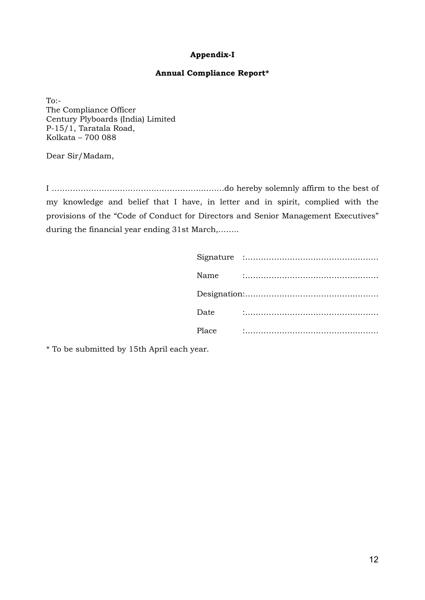# **Appendix-I**

#### **Annual Compliance Report\***

To:- The Compliance Officer Century Plyboards (India) Limited P-15/1, Taratala Road, Kolkata – 700 088

Dear Sir/Madam,

I …………………………………………………………do hereby solemnly affirm to the best of my knowledge and belief that I have, in letter and in spirit, complied with the provisions of the "Code of Conduct for Directors and Senior Management Executives" during the financial year ending 31st March,……..

| Date  |  |
|-------|--|
| Place |  |

\* To be submitted by 15th April each year.